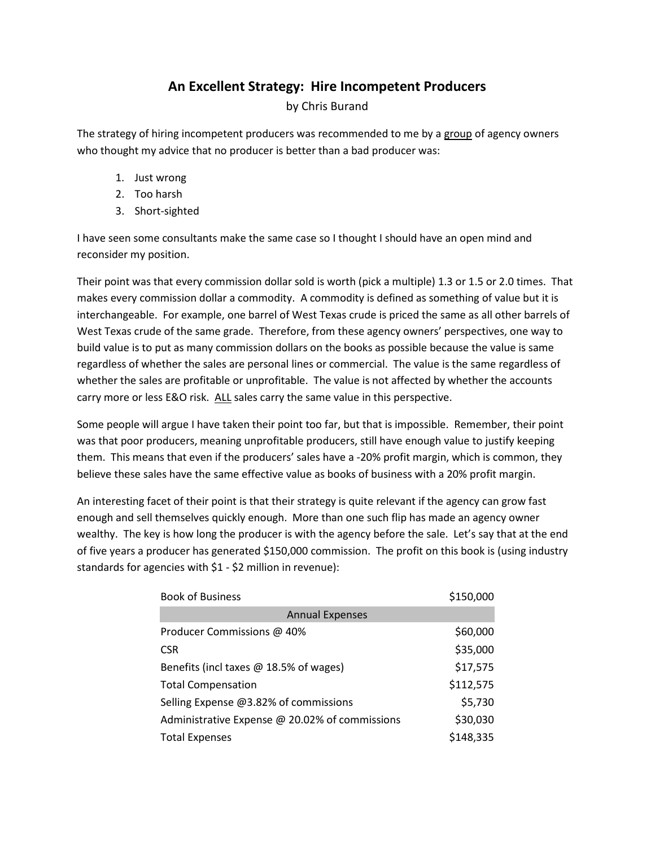## **An Excellent Strategy: Hire Incompetent Producers**

by Chris Burand

The strategy of hiring incompetent producers was recommended to me by a group of agency owners who thought my advice that no producer is better than a bad producer was:

- 1. Just wrong
- 2. Too harsh
- 3. Short-sighted

I have seen some consultants make the same case so I thought I should have an open mind and reconsider my position.

Their point was that every commission dollar sold is worth (pick a multiple) 1.3 or 1.5 or 2.0 times. That makes every commission dollar a commodity. A commodity is defined as something of value but it is interchangeable. For example, one barrel of West Texas crude is priced the same as all other barrels of West Texas crude of the same grade. Therefore, from these agency owners' perspectives, one way to build value is to put as many commission dollars on the books as possible because the value is same regardless of whether the sales are personal lines or commercial. The value is the same regardless of whether the sales are profitable or unprofitable. The value is not affected by whether the accounts carry more or less E&O risk. ALL sales carry the same value in this perspective.

Some people will argue I have taken their point too far, but that is impossible. Remember, their point was that poor producers, meaning unprofitable producers, still have enough value to justify keeping them. This means that even if the producers' sales have a -20% profit margin, which is common, they believe these sales have the same effective value as books of business with a 20% profit margin.

An interesting facet of their point is that their strategy is quite relevant if the agency can grow fast enough and sell themselves quickly enough. More than one such flip has made an agency owner wealthy. The key is how long the producer is with the agency before the sale. Let's say that at the end of five years a producer has generated \$150,000 commission. The profit on this book is (using industry standards for agencies with \$1 - \$2 million in revenue):

| <b>Book of Business</b>                        | \$150,000 |
|------------------------------------------------|-----------|
| <b>Annual Expenses</b>                         |           |
| Producer Commissions @ 40%                     | \$60,000  |
| <b>CSR</b>                                     | \$35,000  |
| Benefits (incl taxes @ 18.5% of wages)         | \$17,575  |
| <b>Total Compensation</b>                      | \$112,575 |
| Selling Expense @3.82% of commissions          | \$5,730   |
| Administrative Expense @ 20.02% of commissions | \$30,030  |
| <b>Total Expenses</b>                          | \$148,335 |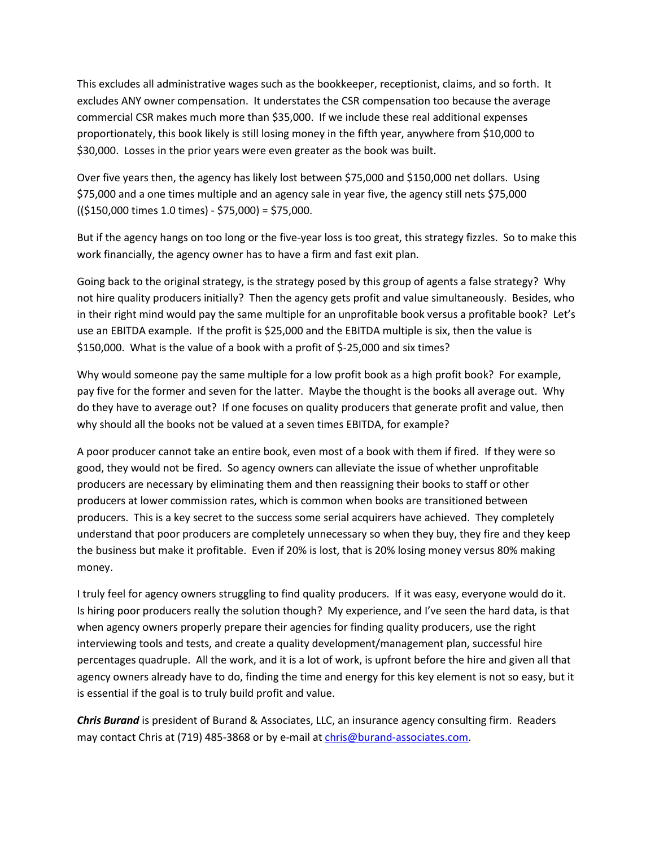This excludes all administrative wages such as the bookkeeper, receptionist, claims, and so forth. It excludes ANY owner compensation. It understates the CSR compensation too because the average commercial CSR makes much more than \$35,000. If we include these real additional expenses proportionately, this book likely is still losing money in the fifth year, anywhere from \$10,000 to \$30,000. Losses in the prior years were even greater as the book was built.

Over five years then, the agency has likely lost between \$75,000 and \$150,000 net dollars. Using \$75,000 and a one times multiple and an agency sale in year five, the agency still nets \$75,000 ((\$150,000 times 1.0 times) - \$75,000) = \$75,000.

But if the agency hangs on too long or the five-year loss is too great, this strategy fizzles. So to make this work financially, the agency owner has to have a firm and fast exit plan.

Going back to the original strategy, is the strategy posed by this group of agents a false strategy? Why not hire quality producers initially? Then the agency gets profit and value simultaneously. Besides, who in their right mind would pay the same multiple for an unprofitable book versus a profitable book? Let's use an EBITDA example. If the profit is \$25,000 and the EBITDA multiple is six, then the value is \$150,000. What is the value of a book with a profit of \$-25,000 and six times?

Why would someone pay the same multiple for a low profit book as a high profit book? For example, pay five for the former and seven for the latter. Maybe the thought is the books all average out. Why do they have to average out? If one focuses on quality producers that generate profit and value, then why should all the books not be valued at a seven times EBITDA, for example?

A poor producer cannot take an entire book, even most of a book with them if fired. If they were so good, they would not be fired. So agency owners can alleviate the issue of whether unprofitable producers are necessary by eliminating them and then reassigning their books to staff or other producers at lower commission rates, which is common when books are transitioned between producers. This is a key secret to the success some serial acquirers have achieved. They completely understand that poor producers are completely unnecessary so when they buy, they fire and they keep the business but make it profitable. Even if 20% is lost, that is 20% losing money versus 80% making money.

I truly feel for agency owners struggling to find quality producers. If it was easy, everyone would do it. Is hiring poor producers really the solution though? My experience, and I've seen the hard data, is that when agency owners properly prepare their agencies for finding quality producers, use the right interviewing tools and tests, and create a quality development/management plan, successful hire percentages quadruple. All the work, and it is a lot of work, is upfront before the hire and given all that agency owners already have to do, finding the time and energy for this key element is not so easy, but it is essential if the goal is to truly build profit and value.

*Chris Burand* is president of Burand & Associates, LLC, an insurance agency consulting firm. Readers may contact Chris at (719) 485-3868 or by e-mail at chris@burand-associates.com.